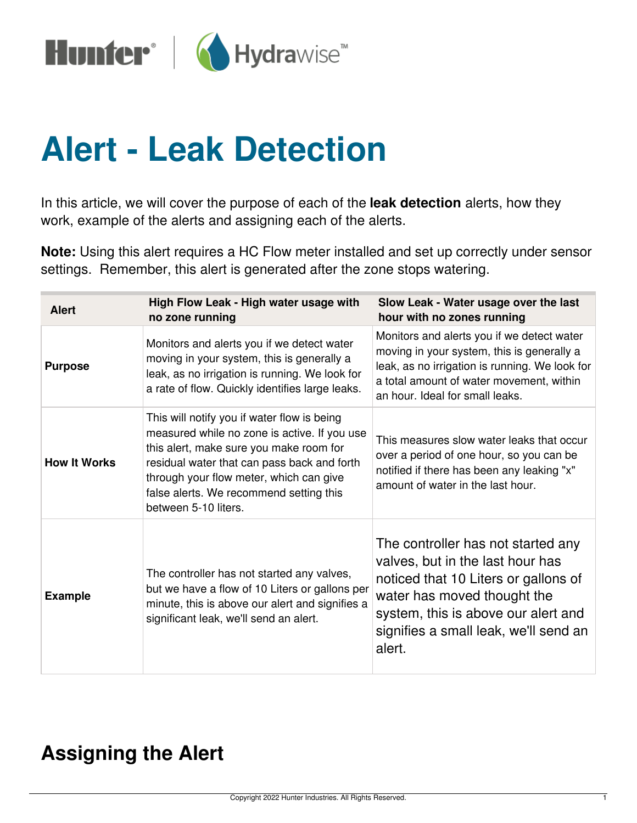

## **Alert - Leak Detection**

In this article, we will cover the purpose of each of the **leak detection** alerts, how they work, example of the alerts and assigning each of the alerts.

**Note:** Using this alert requires a HC Flow meter installed and set up correctly under sensor settings. Remember, this alert is generated after the zone stops watering.

| <b>Alert</b>        | High Flow Leak - High water usage with<br>no zone running                                                                                                                                                                                                                                           | Slow Leak - Water usage over the last<br>hour with no zones running                                                                                                                                                                     |
|---------------------|-----------------------------------------------------------------------------------------------------------------------------------------------------------------------------------------------------------------------------------------------------------------------------------------------------|-----------------------------------------------------------------------------------------------------------------------------------------------------------------------------------------------------------------------------------------|
| <b>Purpose</b>      | Monitors and alerts you if we detect water<br>moving in your system, this is generally a<br>leak, as no irrigation is running. We look for<br>a rate of flow. Quickly identifies large leaks.                                                                                                       | Monitors and alerts you if we detect water<br>moving in your system, this is generally a<br>leak, as no irrigation is running. We look for<br>a total amount of water movement, within<br>an hour. Ideal for small leaks.               |
| <b>How It Works</b> | This will notify you if water flow is being<br>measured while no zone is active. If you use<br>this alert, make sure you make room for<br>residual water that can pass back and forth<br>through your flow meter, which can give<br>false alerts. We recommend setting this<br>between 5-10 liters. | This measures slow water leaks that occur<br>over a period of one hour, so you can be<br>notified if there has been any leaking "x"<br>amount of water in the last hour.                                                                |
| <b>Example</b>      | The controller has not started any valves,<br>but we have a flow of 10 Liters or gallons per<br>minute, this is above our alert and signifies a<br>significant leak, we'll send an alert.                                                                                                           | The controller has not started any<br>valves, but in the last hour has<br>noticed that 10 Liters or gallons of<br>water has moved thought the<br>system, this is above our alert and<br>signifies a small leak, we'll send an<br>alert. |

## **Assigning the Alert**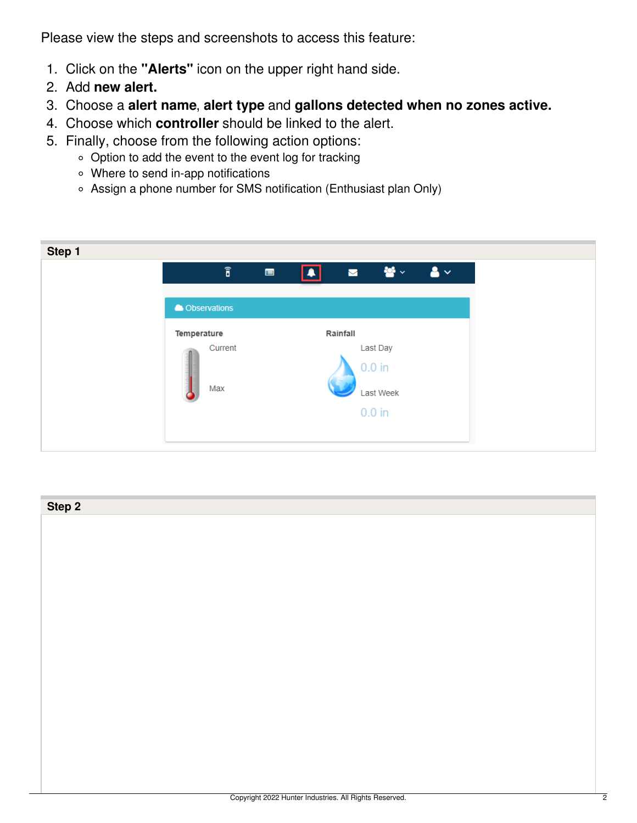Please view the steps and screenshots to access this feature:

- 1. Click on the **"Alerts"** icon on the upper right hand side.
- 2. Add **new alert.**
- 3. Choose a **alert name**, **alert type** and **gallons detected when no zones active.**
- 4. Choose which **controller** should be linked to the alert.
- 5. Finally, choose from the following action options:
	- o Option to add the event to the event log for tracking
	- Where to send in-app notifications
	- Assign a phone number for SMS notification (Enthusiast plan Only)

| Step 1 |                        |                |                   |                        |        |
|--------|------------------------|----------------|-------------------|------------------------|--------|
|        | $\widehat{\mathbf{b}}$ | $\blacksquare$ | $\boxed{\bullet}$ | 「鬱々」<br>$\blacksquare$ | $-8 -$ |
|        |                        |                |                   |                        |        |
|        | <b>A</b> Observations  |                |                   |                        |        |
|        | <b>Temperature</b>     |                | Rainfall          |                        |        |
|        | Current                |                |                   | Last Day               |        |
|        |                        |                |                   | $0.0$ in               |        |
|        | Max                    |                |                   | Last Week              |        |
|        |                        |                |                   | $0.0$ in               |        |
|        |                        |                |                   |                        |        |
|        |                        |                |                   |                        |        |

| Step 2 |  |
|--------|--|
|        |  |
|        |  |
|        |  |
|        |  |
|        |  |
|        |  |
|        |  |
|        |  |
|        |  |
|        |  |
|        |  |
|        |  |
|        |  |
|        |  |
|        |  |
|        |  |
|        |  |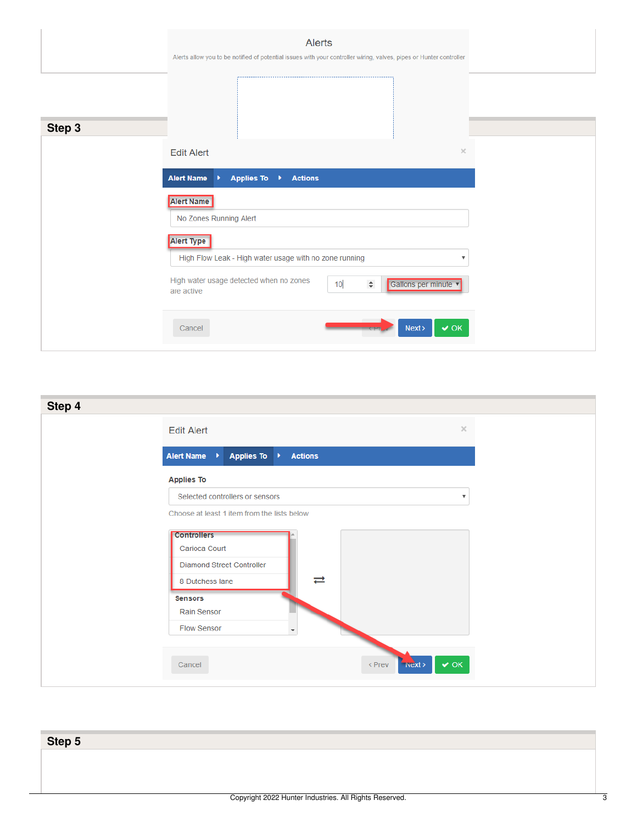|        | Alerts<br>Alerts allow you to be notified of potential issues with your controller wiring, valves, pipes or Hunter controller                                            |  |
|--------|--------------------------------------------------------------------------------------------------------------------------------------------------------------------------|--|
| Step 3 |                                                                                                                                                                          |  |
|        | $\times$<br><b>Edit Alert</b><br>Applies To →<br><b>Alert Name</b><br><b>Actions</b><br>×<br><b>Alert Name</b><br>No Zones Running Alert<br>Alert Type                   |  |
|        | High Flow Leak - High water usage with no zone running<br>High water usage detected when no zones<br>Gallons per minute<br>10 <sub>1</sub><br>$\hat{\div}$<br>are active |  |
|        | Cancel<br>Next ><br>$\vee$ OK                                                                                                                                            |  |

| Step 4 |                                                                                                                                                 |                         |
|--------|-------------------------------------------------------------------------------------------------------------------------------------------------|-------------------------|
|        | <b>Edit Alert</b>                                                                                                                               | $\times$                |
|        | Alert Name →<br>Applies To ▶<br><b>Actions</b>                                                                                                  |                         |
|        | <b>Applies To</b>                                                                                                                               |                         |
|        | Selected controllers or sensors                                                                                                                 | $\overline{\mathbf{v}}$ |
|        | Choose at least 1 item from the lists below                                                                                                     |                         |
|        | <b>Controllers</b><br>Carioca Court<br>Diamond Street Controller<br>⇄<br>8 Dutchess lane<br><b>Sensors</b><br>Rain Sensor<br><b>Flow Sensor</b> |                         |
|        | $\overline{\phantom{a}}$                                                                                                                        |                         |
|        | $\vee$ OK<br>< Prev<br>Next<br>Cancel                                                                                                           |                         |

| Step 5 |  |
|--------|--|
|        |  |
|        |  |
|        |  |
|        |  |